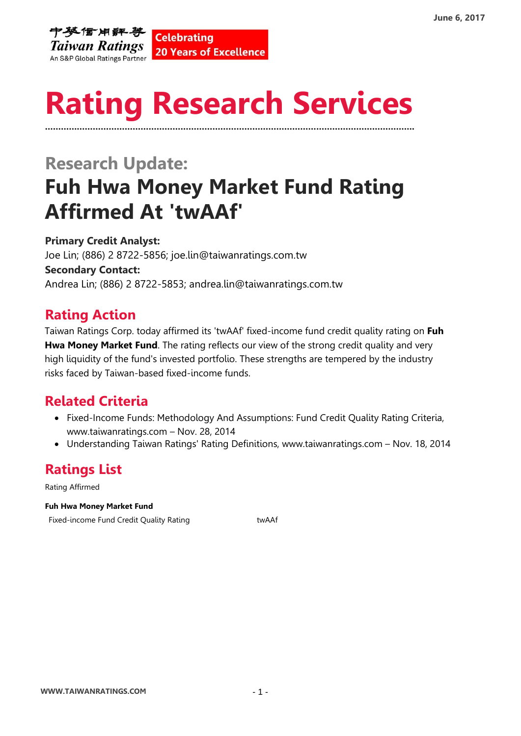

# **Rating Research Services ………………………………………………………………………………………………………………………….**

## **Research Update: Fuh Hwa Money Market Fund Rating Affirmed At 'twAAf'**

**Primary Credit Analyst:** Joe Lin; (886) 2 8722-5856; joe.lin@taiwanratings.com.tw **Secondary Contact:** Andrea Lin; (886) 2 8722-5853; andrea.lin@taiwanratings.com.tw

### **Rating Action**

Taiwan Ratings Corp. today affirmed its 'twAAf' fixed-income fund credit quality rating on **[Fuh](https://rrs.taiwanratings.com.tw/portal/member/viewFund/297)  [Hwa Money Market Fund](https://rrs.taiwanratings.com.tw/portal/member/viewFund/297)**. The rating reflects our view of the strong credit quality and very high liquidity of the fund's invested portfolio. These strengths are tempered by the industry risks faced by Taiwan-based fixed-income funds.

#### **Related Criteria**

- Fixed-Income Funds: Methodology And Assumptions: Fund Credit Quality Rating Criteria, www.taiwanratings.com – Nov. 28, 2014
- Understanding Taiwan Ratings' Rating Definitions, www.taiwanratings.com Nov. 18, 2014

### **Ratings List**

Rating Affirmed

#### **Fuh Hwa Money Market Fund**

Fixed-income Fund Credit Quality Rating The Theorem and The Euclidean